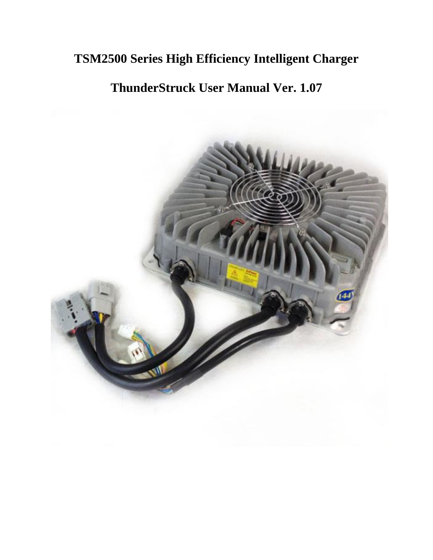# **TSM2500 Series High Efficiency Intelligent Charger**

# **ThunderStruck User Manual Ver. 1.07**

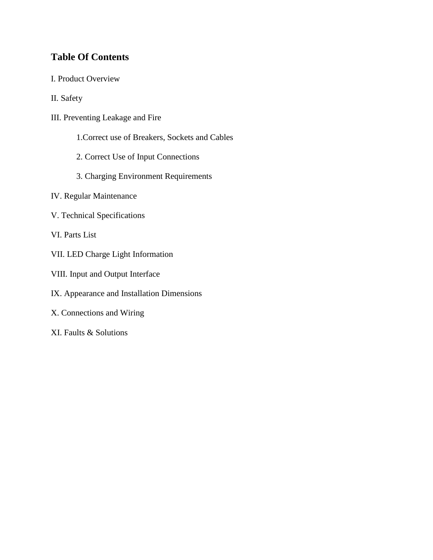# **Table Of Contents**

I. Product Overview

II. Safety

- III. Preventing Leakage and Fire
	- 1.Correct use of Breakers, Sockets and Cables
	- 2. Correct Use of Input Connections
	- 3. Charging Environment Requirements
- IV. Regular Maintenance
- V. Technical Specifications
- VI. Parts List
- VII. LED Charge Light Information
- VIII. Input and Output Interface
- IX. Appearance and Installation Dimensions
- X. Connections and Wiring
- XI. Faults & Solutions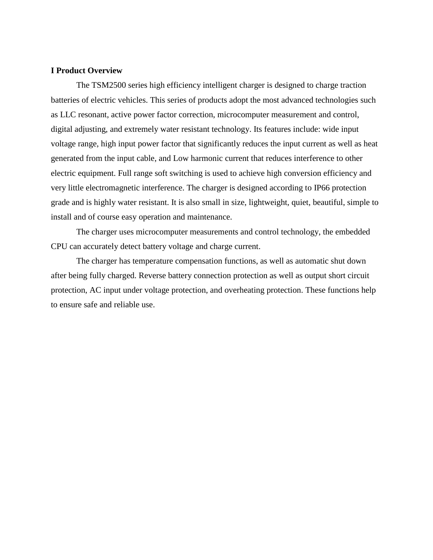#### **I Product Overview**

The TSM2500 series high efficiency intelligent charger is designed to charge traction batteries of electric vehicles. This series of products adopt the most advanced technologies such as LLC resonant, active power factor correction, microcomputer measurement and control, digital adjusting, and extremely water resistant technology. Its features include: wide input voltage range, high input power factor that significantly reduces the input current as well as heat generated from the input cable, and Low harmonic current that reduces interference to other electric equipment. Full range soft switching is used to achieve high conversion efficiency and very little electromagnetic interference. The charger is designed according to IP66 protection grade and is highly water resistant. It is also small in size, lightweight, quiet, beautiful, simple to install and of course easy operation and maintenance.

The charger uses microcomputer measurements and control technology, the embedded CPU can accurately detect battery voltage and charge current.

The charger has temperature compensation functions, as well as automatic shut down after being fully charged. Reverse battery connection protection as well as output short circuit protection, AC input under voltage protection, and overheating protection. These functions help to ensure safe and reliable use.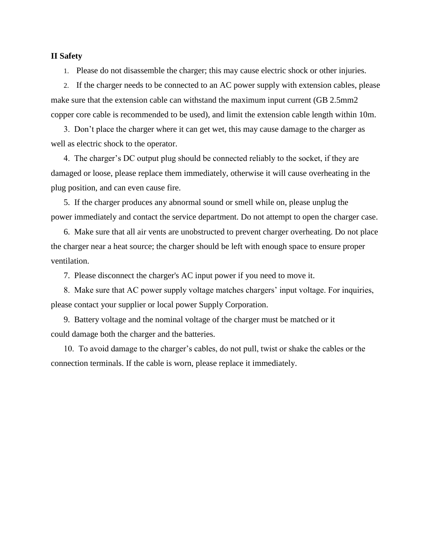#### **II Safety**

1. Please do not disassemble the charger; this may cause electric shock or other injuries.

2. If the charger needs to be connected to an AC power supply with extension cables, please make sure that the extension cable can withstand the maximum input current (GB 2.5mm2 copper core cable is recommended to be used), and limit the extension cable length within 10m.

 3. Don't place the charger where it can get wet, this may cause damage to the charger as well as electric shock to the operator.

 4. The charger's DC output plug should be connected reliably to the socket, if they are damaged or loose, please replace them immediately, otherwise it will cause overheating in the plug position, and can even cause fire.

 5. If the charger produces any abnormal sound or smell while on, please unplug the power immediately and contact the service department. Do not attempt to open the charger case.

 6. Make sure that all air vents are unobstructed to prevent charger overheating. Do not place the charger near a heat source; the charger should be left with enough space to ensure proper ventilation.

7. Please disconnect the charger's AC input power if you need to move it.

 8. Make sure that AC power supply voltage matches chargers' input voltage. For inquiries, please contact your supplier or local power Supply Corporation.

 9. Battery voltage and the nominal voltage of the charger must be matched or it could damage both the charger and the batteries.

 10. To avoid damage to the charger's cables, do not pull, twist or shake the cables or the connection terminals. If the cable is worn, please replace it immediately.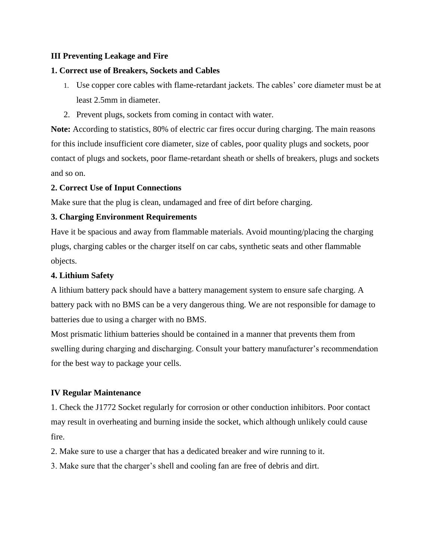#### **III Preventing Leakage and Fire**

#### **1. Correct use of Breakers, Sockets and Cables**

- 1. Use copper core cables with flame-retardant jackets. The cables' core diameter must be at least 2.5mm in diameter.
- 2. Prevent plugs, sockets from coming in contact with water.

**Note:** According to statistics, 80% of electric car fires occur during charging. The main reasons for this include insufficient core diameter, size of cables, poor quality plugs and sockets, poor contact of plugs and sockets, poor flame-retardant sheath or shells of breakers, plugs and sockets and so on.

#### **2. Correct Use of Input Connections**

Make sure that the plug is clean, undamaged and free of dirt before charging.

#### **3. Charging Environment Requirements**

Have it be spacious and away from flammable materials. Avoid mounting/placing the charging plugs, charging cables or the charger itself on car cabs, synthetic seats and other flammable objects.

#### **4. Lithium Safety**

A lithium battery pack should have a battery management system to ensure safe charging. A battery pack with no BMS can be a very dangerous thing. We are not responsible for damage to batteries due to using a charger with no BMS.

Most prismatic lithium batteries should be contained in a manner that prevents them from swelling during charging and discharging. Consult your battery manufacturer's recommendation for the best way to package your cells.

#### **IV Regular Maintenance**

1. Check the J1772 Socket regularly for corrosion or other conduction inhibitors. Poor contact may result in overheating and burning inside the socket, which although unlikely could cause fire.

2. Make sure to use a charger that has a dedicated breaker and wire running to it.

3. Make sure that the charger's shell and cooling fan are free of debris and dirt.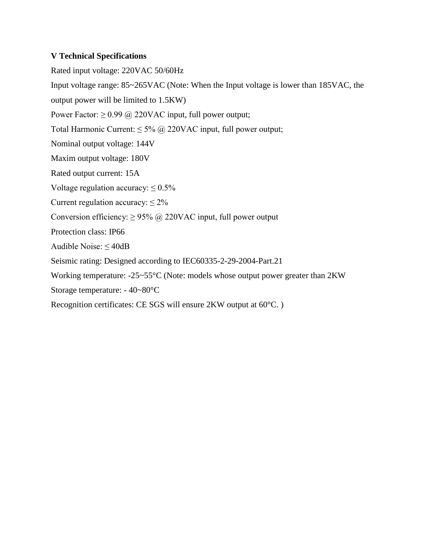#### **V Technical Specifications**

Rated input voltage: 220VAC 50/60Hz Input voltage range: 85~265VAC (Note: When the Input voltage is lower than 185VAC, the output power will be limited to 1.5KW) Power Factor:  $\geq 0.99$  @ 220VAC input, full power output; Total Harmonic Current:  $\leq 5\%$  @ 220VAC input, full power output; Nominal output voltage: 144V Maxim output voltage: 180V Rated output current: 15A Voltage regulation accuracy:  $\leq 0.5\%$ Current regulation accuracy:  $\leq 2\%$ Conversion efficiency:  $\geq$  95% @ 220VAC input, full power output Protection class: IP66 Audible Noise:  $\leq$  40dB Seismic rating: Designed according to IEC60335-2-29-2004-Part.21 Working temperature: -25~55°C (Note: models whose output power greater than 2KW Storage temperature: - 40~80°C Recognition certificates: CE SGS will ensure 2KW output at 60°C. )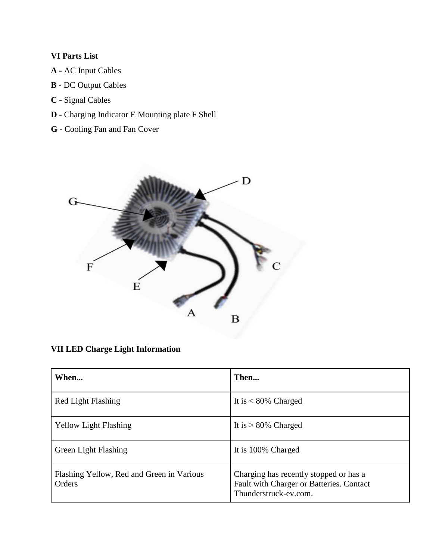# **VI Parts List**

- **A -** AC Input Cables
- **B -** DC Output Cables
- **C -** Signal Cables
- **D -** Charging Indicator E Mounting plate F Shell
- **G -** Cooling Fan and Fan Cover



**VII LED Charge Light Information**

| When                                                | Then                                                                                                        |
|-----------------------------------------------------|-------------------------------------------------------------------------------------------------------------|
| Red Light Flashing                                  | It is $< 80\%$ Charged                                                                                      |
| <b>Yellow Light Flashing</b>                        | It is $> 80\%$ Charged                                                                                      |
| <b>Green Light Flashing</b>                         | It is 100% Charged                                                                                          |
| Flashing Yellow, Red and Green in Various<br>Orders | Charging has recently stopped or has a<br>Fault with Charger or Batteries. Contact<br>Thunderstruck-ev.com. |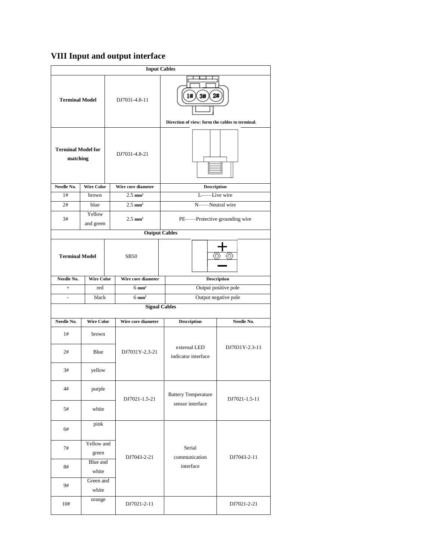# **VIII Input and output interface**

|                                       |                                          |               | <b>Input Cables</b>   |                                                                 |                      |  |
|---------------------------------------|------------------------------------------|---------------|-----------------------|-----------------------------------------------------------------|----------------------|--|
| <b>Terminal Model</b>                 |                                          |               | DJ7031-4.8-11         | 3#<br>1#<br>Direction of view: form the cables to terminal.     |                      |  |
| <b>Terminal Model for</b><br>matching |                                          |               | DJ7031-4.8-21         |                                                                 |                      |  |
| Needle No.                            | <b>Wire Color</b>                        |               | Wire core diameter    | <b>Description</b>                                              |                      |  |
| 1#                                    | brown                                    |               | $2.5$ mm <sup>2</sup> | Ŀ                                                               | Live wire            |  |
| 2#                                    | blue                                     |               | $2.5$ mm <sup>2</sup> | N.                                                              | Neutral wire         |  |
| 3#                                    | Yellow<br>and green                      |               | $2.5$ mm <sup>2</sup> | PE——Protective grounding wire                                   |                      |  |
|                                       |                                          |               | <b>Output Cables</b>  |                                                                 |                      |  |
| <b>Terminal Model</b>                 |                                          |               | <b>SB50</b>           | O                                                               |                      |  |
| Needle No.                            | <b>Wire Color</b>                        |               | Wire core diameter    |                                                                 | <b>Description</b>   |  |
| $+$                                   | red                                      |               | $6 \text{ mm}^2$      |                                                                 | Output positive pole |  |
| $\overline{a}$                        | black                                    |               | $6 \text{ mm}^2$      |                                                                 | Output negative pole |  |
|                                       |                                          |               | <b>Signal Cables</b>  |                                                                 |                      |  |
| Needle No.                            | <b>Wire Color</b>                        |               | Wire core diameter    | <b>Description</b>                                              | Needle No.           |  |
| 1#                                    | brown                                    |               |                       |                                                                 |                      |  |
| 2#                                    | Blue                                     |               | DJ7031Y-2.3-21        | external LED<br>indicator interface                             | DJ7031Y-2.3-11       |  |
| 3#                                    | yellow                                   |               |                       |                                                                 |                      |  |
| 4#                                    | purple                                   | DJ7021-1.5-21 |                       | <b>Battery Temperature</b><br>DJ7021-1.5-11<br>sensor interface |                      |  |
| 5#                                    | white                                    |               |                       |                                                                 |                      |  |
| 6#                                    | pink                                     |               |                       | Serial                                                          |                      |  |
| 7#                                    | Yellow and<br>green<br>Blue and<br>white |               |                       |                                                                 | DJ7043-2-11          |  |
| 8#                                    |                                          |               | DJ7043-2-21           | communication<br>interface                                      |                      |  |
| 9#                                    | Green and<br>white                       |               |                       |                                                                 |                      |  |
| 10#                                   | orange                                   |               | DJ7021-2-11           |                                                                 | DJ7021-2-21          |  |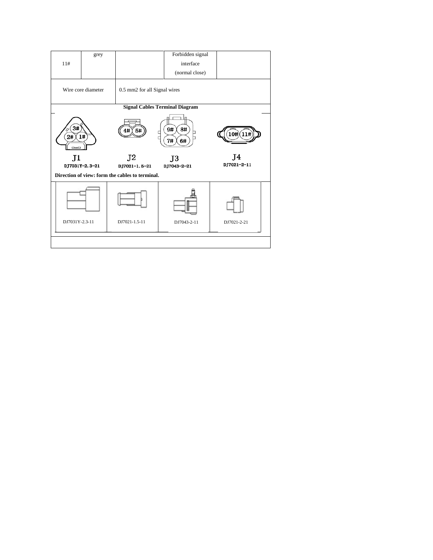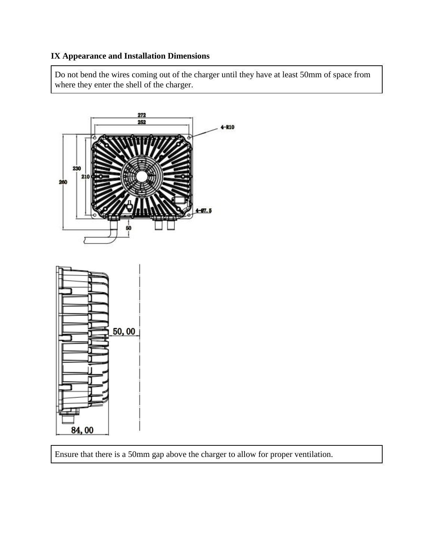### **IX Appearance and Installation Dimensions**

Do not bend the wires coming out of the charger until they have at least 50mm of space from where they enter the shell of the charger.



Ensure that there is a 50mm gap above the charger to allow for proper ventilation.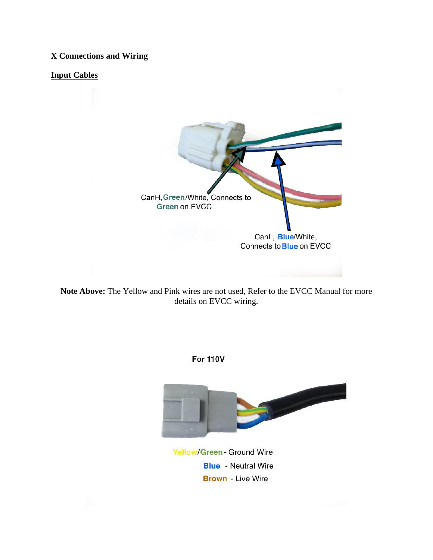### **X Connections and Wiring**

#### **Input Cables**



**Note Above:** The Yellow and Pink wires are not used, Refer to the EVCC Manual for more details on EVCC wiring.

**For 110V** 



**Yellow/Green- Ground Wire Blue** - Neutral Wire **Brown** - Live Wire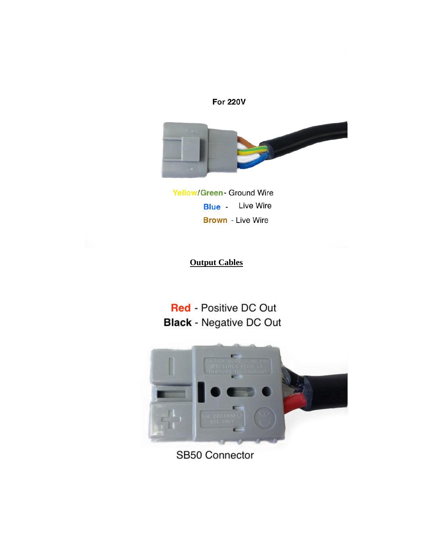



**Yellow/Green- Ground Wire Blue** - Live Wire **Brown** - Live Wire

**Output Cables**

**Red** - Positive DC Out **Black - Negative DC Out** 



SB50 Connector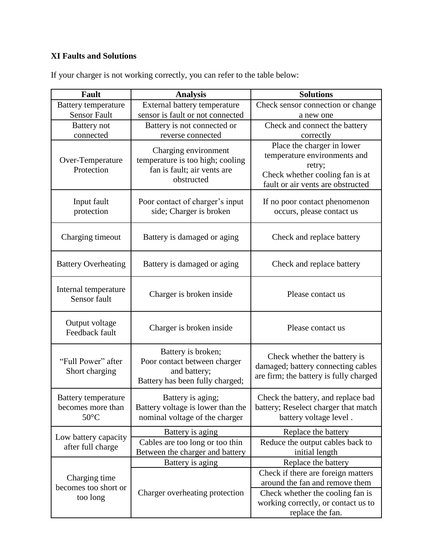# **XI Faults and Solutions**

| <b>Fault</b>                                               | <b>Analysis</b>                                                                                       | <b>Solutions</b>                                                                                                                             |
|------------------------------------------------------------|-------------------------------------------------------------------------------------------------------|----------------------------------------------------------------------------------------------------------------------------------------------|
| <b>Battery temperature</b>                                 | External battery temperature                                                                          | Check sensor connection or change                                                                                                            |
| <b>Sensor Fault</b>                                        | sensor is fault or not connected                                                                      | a new one                                                                                                                                    |
| <b>Battery</b> not                                         | Battery is not connected or                                                                           | Check and connect the battery                                                                                                                |
| connected                                                  | reverse connected                                                                                     | correctly                                                                                                                                    |
| Over-Temperature<br>Protection                             | Charging environment<br>temperature is too high; cooling<br>fan is fault; air vents are<br>obstructed | Place the charger in lower<br>temperature environments and<br>retry;<br>Check whether cooling fan is at<br>fault or air vents are obstructed |
| Input fault<br>protection                                  | Poor contact of charger's input<br>side; Charger is broken                                            | If no poor contact phenomenon<br>occurs, please contact us                                                                                   |
| Charging timeout                                           | Battery is damaged or aging                                                                           | Check and replace battery                                                                                                                    |
| <b>Battery Overheating</b>                                 | Battery is damaged or aging                                                                           | Check and replace battery                                                                                                                    |
| Internal temperature<br>Sensor fault                       | Charger is broken inside                                                                              | Please contact us                                                                                                                            |
| Output voltage<br>Feedback fault                           | Charger is broken inside                                                                              | Please contact us                                                                                                                            |
| "Full Power" after<br>Short charging                       | Battery is broken;<br>Poor contact between charger<br>and battery;<br>Battery has been fully charged; | Check whether the battery is<br>damaged; battery connecting cables<br>are firm; the battery is fully charged                                 |
| Battery temperature<br>becomes more than<br>$50^{\circ}$ C | Battery is aging;<br>Battery voltage is lower than the<br>nominal voltage of the charger              | Check the battery, and replace bad<br>battery; Reselect charger that match<br>battery voltage level.                                         |
| Low battery capacity<br>after full charge                  | Battery is aging                                                                                      | Replace the battery                                                                                                                          |
|                                                            | Cables are too long or too thin<br>Between the charger and battery                                    | Reduce the output cables back to<br>initial length                                                                                           |
|                                                            | Battery is aging                                                                                      | Replace the battery                                                                                                                          |
| Charging time<br>becomes too short or<br>too long          | Charger overheating protection                                                                        | Check if there are foreign matters<br>around the fan and remove them<br>Check whether the cooling fan is                                     |
|                                                            |                                                                                                       | working correctly, or contact us to<br>replace the fan.                                                                                      |

If your charger is not working correctly, you can refer to the table below: